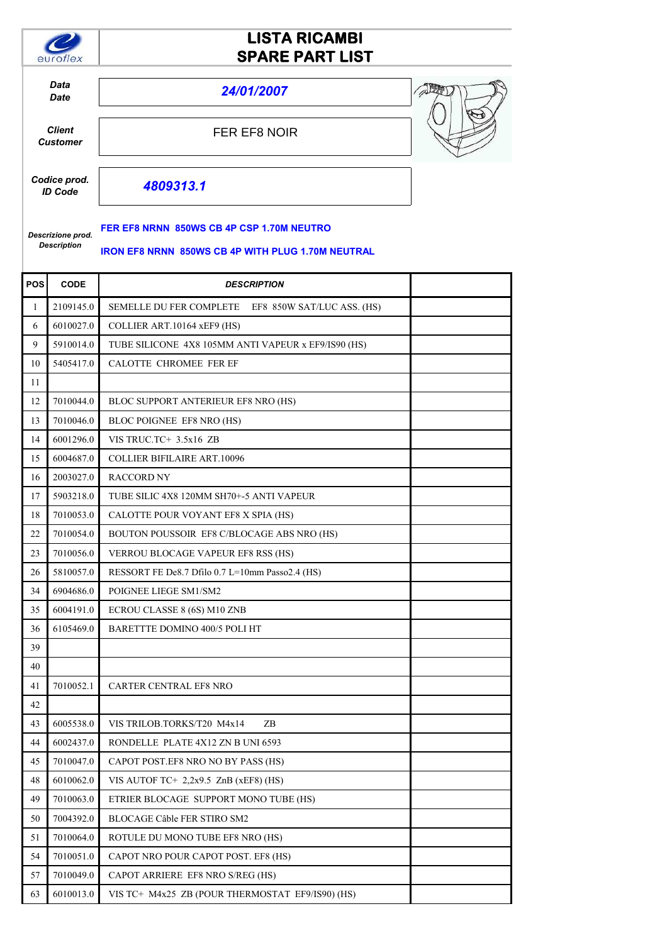

# **LISTA RICAMBI SPARE PART LIST**

*Data*

*Date 24/01/2007*

*Client Customer* FER EF8 NOIR



*Codice prod. ID Code*

*09313.1*

### **FER EF8 NRNN 850WS CB 4P CSP 1.70M NEUTRO**

#### *Descrizione prod. Description*

#### **IRON EF8 NRNN 850WS CB 4P WITH PLUG 1.70M NEUTRAL**

| POS | <b>CODE</b> | <b>DESCRIPTION</b>                                  |  |
|-----|-------------|-----------------------------------------------------|--|
| 1   | 2109145.0   | SEMELLE DU FER COMPLETE EF8 850W SAT/LUC ASS. (HS)  |  |
| 6   | 6010027.0   | COLLIER ART.10164 xEF9 (HS)                         |  |
| 9   | 5910014.0   | TUBE SILICONE 4X8 105MM ANTI VAPEUR x EF9/IS90 (HS) |  |
| 10  | 5405417.0   | <b>CALOTTE CHROMEE FER EF</b>                       |  |
| 11  |             |                                                     |  |
| 12  | 7010044.0   | BLOC SUPPORT ANTERIEUR EF8 NRO (HS)                 |  |
| 13  | 7010046.0   | BLOC POIGNEE EF8 NRO (HS)                           |  |
| 14  | 6001296.0   | VIS TRUC.TC+ 3.5x16 ZB                              |  |
| 15  | 6004687.0   | <b>COLLIER BIFILAIRE ART.10096</b>                  |  |
| 16  | 2003027.0   | <b>RACCORD NY</b>                                   |  |
| 17  | 5903218.0   | TUBE SILIC 4X8 120MM SH70+-5 ANTI VAPEUR            |  |
| 18  | 7010053.0   | CALOTTE POUR VOYANT EF8 X SPIA (HS)                 |  |
| 22  | 7010054.0   | BOUTON POUSSOIR EF8 C/BLOCAGE ABS NRO (HS)          |  |
| 23  | 7010056.0   | <b>VERROU BLOCAGE VAPEUR EF8 RSS (HS)</b>           |  |
| 26  | 5810057.0   | RESSORT FE De8.7 Dfilo 0.7 L=10mm Passo2.4 (HS)     |  |
| 34  | 6904686.0   | POIGNEE LIEGE SM1/SM2                               |  |
| 35  | 6004191.0   | ECROU CLASSE 8 (6S) M10 ZNB                         |  |
| 36  | 6105469.0   | BARETTTE DOMINO 400/5 POLI HT                       |  |
| 39  |             |                                                     |  |
| 40  |             |                                                     |  |
| 41  | 7010052.1   | <b>CARTER CENTRAL EF8 NRO</b>                       |  |
| 42  |             |                                                     |  |
| 43  | 6005538.0   | VIS TRILOB.TORKS/T20 M4x14<br>ZB.                   |  |
| 44  | 6002437.0   | RONDELLE PLATE 4X12 ZN B UNI 6593                   |  |
| 45  | 7010047.0   | CAPOT POST.EF8 NRO NO BY PASS (HS)                  |  |
| 48  | 6010062.0   | VIS AUTOF TC+ $2,2x9.5$ ZnB (xEF8) (HS)             |  |
| 49  | 7010063.0   | ETRIER BLOCAGE SUPPORT MONO TUBE (HS)               |  |
| 50  | 7004392.0   | BLOCAGE Câble FER STIRO SM2                         |  |
| 51  | 7010064.0   | ROTULE DU MONO TUBE EF8 NRO (HS)                    |  |
| 54  | 7010051.0   | CAPOT NRO POUR CAPOT POST. EF8 (HS)                 |  |
| 57  | 7010049.0   | CAPOT ARRIERE EF8 NRO S/REG (HS)                    |  |
| 63  | 6010013.0   | VIS TC+ M4x25 ZB (POUR THERMOSTAT EF9/IS90) (HS)    |  |